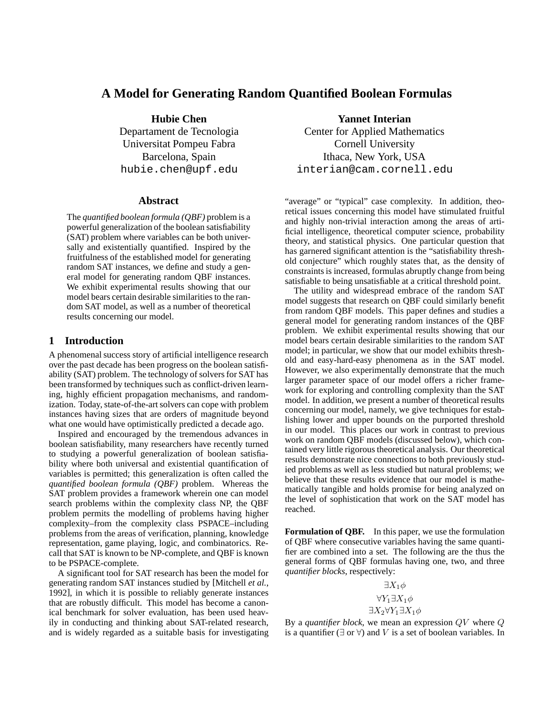# **A Model for Generating Random Quantified Boolean Formulas**

**Hubie Chen**

Departament de Tecnologia Universitat Pompeu Fabra Barcelona, Spain hubie.chen@upf.edu

#### **Abstract**

The *quantified boolean formula (QBF)* problem is a powerful generalization of the boolean satisfiability (SAT) problem where variables can be both universally and existentially quantified. Inspired by the fruitfulness of the established model for generating random SAT instances, we define and study a general model for generating random QBF instances. We exhibit experimental results showing that our model bears certain desirable similarities to the random SAT model, as well as a number of theoretical results concerning our model.

### **1 Introduction**

A phenomenal success story of artificial intelligence research over the past decade has been progress on the boolean satisfiability (SAT) problem. The technology of solversfor SAT has been transformed by techniques such as conflict-driven learning, highly efficient propagation mechanisms, and randomization. Today, state-of-the-artsolvers can cope with problem instances having sizes that are orders of magnitude beyond what one would have optimistically predicted a decade ago.

Inspired and encouraged by the tremendous advances in boolean satisfiability, many researchers have recently turned to studying a powerful generalization of boolean satisfiability where both universal and existential quantification of variables is permitted; this generalization is often called the *quantified boolean formula (QBF)* problem. Whereas the SAT problem provides a framework wherein one can model search problems within the complexity class NP, the QBF problem permits the modelling of problems having higher complexity–from the complexity class PSPACE–including problems from the areas of verification, planning, knowledge representation, game playing, logic, and combinatorics. Recall that SAT is known to be NP-complete, and QBF is known to be PSPACE-complete.

A significant tool for SAT research has been the model for generating random SAT instances studied by [Mitchell *et al.*, 1992], in which it is possible to reliably generate instances that are robustly difficult. This model has become a canonical benchmark for solver evaluation, has been used heavily in conducting and thinking about SAT-related research, and is widely regarded as a suitable basis for investigating

**Yannet Interian** Center for Applied Mathematics Cornell University

Ithaca, New York, USA interian@cam.cornell.edu

"average" or "typical" case complexity. In addition, theoretical issues concerning this model have stimulated fruitful and highly non-trivial interaction among the areas of artificial intelligence, theoretical computer science, probability theory, and statistical physics. One particular question that has garnered significant attention is the "satisfiability threshold conjecture" which roughly states that, as the density of constraints is increased, formulas abruptly change from being satisfiable to being unsatisfiable at a critical threshold point.

The utility and widespread embrace of the random SAT model suggests that research on QBF could similarly benefit from random QBF models. This paper defines and studies a general model for generating random instances of the QBF problem. We exhibit experimental results showing that our model bears certain desirable similarities to the random SAT model; in particular, we show that our model exhibits threshold and easy-hard-easy phenomena as in the SAT model. However, we also experimentally demonstrate that the much larger parameter space of our model offers a richer framework for exploring and controlling complexity than the SAT model. In addition, we present a number of theoretical results concerning our model, namely, we give techniques for establishing lower and upper bounds on the purported threshold in our model. This places our work in contrast to previous work on random QBF models (discussed below), which contained very little rigorous theoretical analysis. Our theoretical results demonstrate nice connections to both previously studied problems as well as less studied but natural problems; we believe that these results evidence that our model is mathematically tangible and holds promise for being analyzed on the level of sophistication that work on the SAT model has reached.

**Formulation of QBF.** In this paper, we use the formulation of QBF where consecutive variables having the same quantifier are combined into a set. The following are the thus the general forms of QBF formulas having one, two, and three *quantifier blocks*, respectively:

$$
\exists X_1 \phi
$$
  

$$
\forall Y_1 \exists X_1 \phi
$$
  

$$
\exists X_2 \forall Y_1 \exists X_1 \phi
$$

By a *quantifier block*, we mean an expression QV where Q is a quantifier ( $\exists$  or  $\forall$ ) and V is a set of boolean variables. In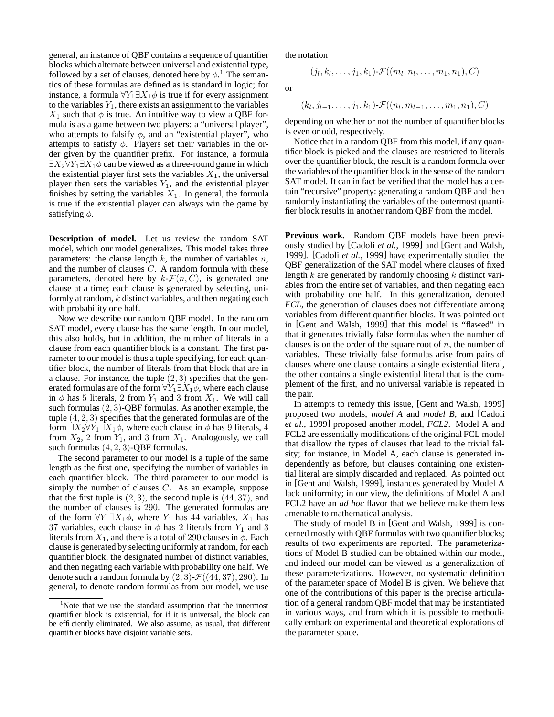general, an instance of QBF contains a sequence of quantifier blocks which alternate between universal and existential type, followed by a set of clauses, denoted here by  $\phi$ .<sup>1</sup> The semantics of these formulas are defined as is standard in logic; for instance, a formula  $\forall Y_1 \exists X_1 \phi$  is true if for every assignment to the variables  $Y_1$ , there exists an assignment to the variables  $X_1$  such that  $\phi$  is true. An intuitive way to view a QBF formula is as a game between two players: a "universal player", who attempts to falsify  $\phi$ , and an "existential player", who attempts to satisfy  $\phi$ . Players set their variables in the order given by the quantifier prefix. For instance, a formula  $\exists X_2 \forall Y_1 \exists X_1 \phi$  can be viewed as a three-round game in which the existential player first sets the variables  $X_1$ , the universal player then sets the variables  $Y_1$ , and the existential player finishes by setting the variables  $X_1$ . In general, the formula is true if the existential player can always win the game by satisfying  $\phi$ .

**Description of model.** Let us review the random SAT model, which our model generalizes. This model takes three parameters: the clause length  $k$ , the number of variables  $n$ , and the number of clauses C. A random formula with these parameters, denoted here by  $k\text{-}\mathcal{F}(n, C)$ , is generated one clause at a time; each clause is generated by selecting, uniformly at random,  $k$  distinct variables, and then negating each with probability one half.

Now we describe our random QBF model. In the random SAT model, every clause has the same length. In our model, this also holds, but in addition, the number of literals in a clause from each quantifier block is a constant. The first parameter to our model is thus a tuple specifying, for each quantifier block, the number of literals from that block that are in a clause. For instance, the tuple  $(2, 3)$  specifies that the generated formulas are of the form  $\forall Y_1 \exists X_1 \phi$ , where each clause in  $\phi$  has 5 literals, 2 from  $Y_1$  and 3 from  $X_1$ . We will call such formulas  $(2, 3)$ -QBF formulas. As another example, the tuple  $(4, 2, 3)$  specifies that the generated formulas are of the form  $\exists X_2 \forall Y_1 \exists X_1 \phi$ , where each clause in  $\phi$  has 9 literals, 4 from  $X_2$ , 2 from  $Y_1$ , and 3 from  $X_1$ . Analogously, we call such formulas  $(4, 2, 3)$ -QBF formulas.

The second parameter to our model is a tuple of the same length as the first one, specifying the number of variables in each quantifier block. The third parameter to our model is simply the number of clauses  $C$ . As an example, suppose that the first tuple is  $(2, 3)$ , the second tuple is  $(44, 37)$ , and the number of clauses is 290. The generated formulas are of the form  $\forall Y_1 \exists X_1 \phi$ , where  $Y_1$  has 44 variables,  $X_1$  has 37 variables, each clause in  $\phi$  has 2 literals from  $Y_1$  and 3 literals from  $X_1$ , and there is a total of 290 clauses in  $\phi$ . Each clause is generated by selecting uniformly at random, for each quantifier block, the designated number of distinct variables, and then negating each variable with probability one half. We denote such a random formula by  $(2, 3)$ - $\mathcal{F}((44, 37), 290)$ . In general, to denote random formulas from our model, we use the notation

$$
(j_l,k_l,\ldots,j_1,k_1)\text{-}\mathcal{F}((m_l,n_l,\ldots,m_1,n_1),C)
$$

or

$$
(k_l, j_{l-1}, \ldots, j_1, k_1) \text{-} \mathcal{F}((n_l, m_{l-1}, \ldots, m_1, n_1), C)
$$

depending on whether or not the number of quantifier blocks is even or odd, respectively.

Notice that in a random QBF from this model, if any quantifier block is picked and the clauses are restricted to literals over the quantifier block, the result is a random formula over the variables of the quantifier block in the sense of the random SAT model. It can in fact be verified that the model has a certain "recursive" property: generating a random QBF and then randomly instantiating the variables of the outermost quantifier block results in another random QBF from the model.

**Previous work.** Random QBF models have been previously studied by [Cadoli *et al.*, 1999] and [Gent and Walsh, 1999]. [Cadoli *et al.*, 1999] have experimentally studied the QBF generalization of the SAT model where clauses of fixed length k are generated by randomly choosing k distinct variables from the entire set of variables, and then negating each with probability one half. In this generalization, denoted *FCL*, the generation of clauses does not differentiate among variables from different quantifier blocks. It was pointed out in [Gent and Walsh, 1999] that this model is "flawed" in that it generates trivially false formulas when the number of clauses is on the order of the square root of  $n$ , the number of variables. These trivially false formulas arise from pairs of clauses where one clause contains a single existential literal, the other contains a single existential literal that is the complement of the first, and no universal variable is repeated in the pair.

In attempts to remedy this issue, [Gent and Walsh, 1999] proposed two models, *model A* and *model B*, and [Cadoli *et al.*, 1999] proposed another model, *FCL2*. Model A and FCL2 are essentially modifications of the original FCL model that disallow the types of clauses that lead to the trivial falsity; for instance, in Model A, each clause is generated independently as before, but clauses containing one existential literal are simply discarded and replaced. As pointed out in [Gent and Walsh, 1999], instances generated by Model A lack uniformity; in our view, the definitions of Model A and FCL2 have an *ad hoc* flavor that we believe make them less amenable to mathematical analysis.

The study of model B in [Gent and Walsh, 1999] is concerned mostly with QBF formulas with two quantifier blocks; results of two experiments are reported. The parameterizations of Model B studied can be obtained within our model, and indeed our model can be viewed as a generalization of these parameterizations. However, no systematic definition of the parameter space of Model B is given. We believe that one of the contributions of this paper is the precise articulation of a general random QBF model that may be instantiated in various ways, and from which it is possible to methodically embark on experimental and theoretical explorations of the parameter space.

<sup>&</sup>lt;sup>1</sup>Note that we use the standard assumption that the innermost quantifier block is existential, for if it is universal, the block can be efficiently eliminated. We also assume, as usual, that different quantifier blocks have disjoint variable sets.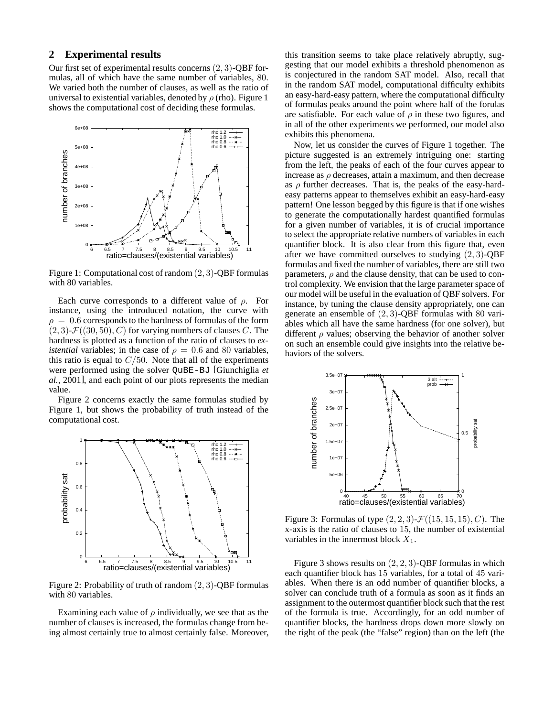## **2 Experimental results**

Our first set of experimental results concerns (2, 3)-QBF formulas, all of which have the same number of variables, 80. We varied both the number of clauses, as well as the ratio of universal to existential variables, denoted by  $\rho$  (rho). Figure 1 shows the computational cost of deciding these formulas.



Figure 1: Computational cost of random (2, 3)-QBF formulas with 80 variables.

Each curve corresponds to a different value of  $\rho$ . For instance, using the introduced notation, the curve with  $\rho = 0.6$  corresponds to the hardness of formulas of the form  $(2, 3)$ - $\mathcal{F}((30, 50), C)$  for varying numbers of clauses C. The hardness is plotted as a function of the ratio of clauses to *existential* variables; in the case of  $\rho = 0.6$  and 80 variables, this ratio is equal to  $C/50$ . Note that all of the experiments were performed using the solver QuBE-BJ [Giunchiglia *et al.*, 2001], and each point of our plots represents the median value.

Figure 2 concerns exactly the same formulas studied by Figure 1, but shows the probability of truth instead of the computational cost.



Figure 2: Probability of truth of random  $(2, 3)$ -QBF formulas with 80 variables.

Examining each value of  $\rho$  individually, we see that as the number of clauses is increased, the formulas change from being almost certainly true to almost certainly false. Moreover, this transition seems to take place relatively abruptly, suggesting that our model exhibits a threshold phenomenon as is conjectured in the random SAT model. Also, recall that in the random SAT model, computational difficulty exhibits an easy-hard-easy pattern, where the computational difficulty of formulas peaks around the point where half of the forulas are satisfiable. For each value of  $\rho$  in these two figures, and in all of the other experiments we performed, our model also exhibits this phenomena.

Now, let us consider the curves of Figure 1 together. The picture suggested is an extremely intriguing one: starting from the left, the peaks of each of the four curves appear to increase as  $\rho$  decreases, attain a maximum, and then decrease as  $\rho$  further decreases. That is, the peaks of the easy-hardeasy patterns appear to themselves exhibit an easy-hard-easy pattern! One lesson begged by this figure is that if one wishes to generate the computationally hardest quantified formulas for a given number of variables, it is of crucial importance to select the appropriate relative numbers of variables in each quantifier block. It is also clear from this figure that, even after we have committed ourselves to studying  $(2, 3)$ -QBF formulas and fixed the number of variables, there are still two parameters,  $\rho$  and the clause density, that can be used to control complexity. We envision that the large parameter space of our model will be useful in the evaluation of QBF solvers. For instance, by tuning the clause density appropriately, one can generate an ensemble of  $(2, 3)$ -QBF formulas with 80 variables which all have the same hardness (for one solver), but different  $\rho$  values; observing the behavior of another solver on such an ensemble could give insights into the relative behaviors of the solvers.



Figure 3: Formulas of type  $(2, 2, 3)$ - $\mathcal{F}((15, 15, 15), C)$ . The x-axis is the ratio of clauses to 15, the number of existential variables in the innermost block  $X_1$ .

Figure 3 shows results on  $(2, 2, 3)$ -QBF formulas in which each quantifier block has 15 variables, for a total of 45 variables. When there is an odd number of quantifier blocks, a solver can conclude truth of a formula as soon as it finds an assignment to the outermost quantifier block such that the rest of the formula is true. Accordingly, for an odd number of quantifier blocks, the hardness drops down more slowly on the right of the peak (the "false" region) than on the left (the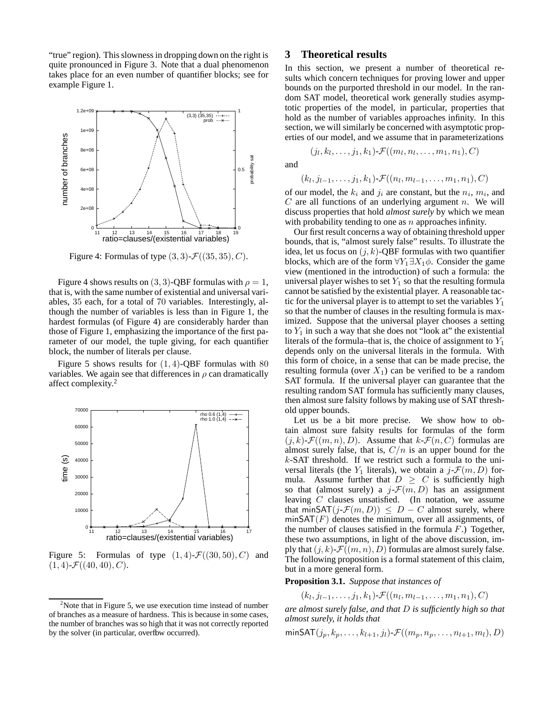"true" region). This slowness in dropping down on the right is quite pronounced in Figure 3. Note that a dual phenomenon takes place for an even number of quantifier blocks; see for example Figure 1.



Figure 4: Formulas of type  $(3, 3)$ - $\mathcal{F}((35, 35), C)$ .

Figure 4 shows results on (3, 3)-QBF formulas with  $\rho = 1$ , that is, with the same number of existential and universal variables, 35 each, for a total of 70 variables. Interestingly, although the number of variables is less than in Figure 1, the hardest formulas (of Figure 4) are considerably harder than those of Figure 1, emphasizing the importance of the first parameter of our model, the tuple giving, for each quantifier block, the number of literals per clause.

Figure 5 shows results for  $(1, 4)$ -QBF formulas with 80 variables. We again see that differences in  $\rho$  can dramatically affect complexity. 2



Figure 5: Formulas of type  $(1, 4)$ - $\mathcal{F}((30, 50), C)$  and  $(1, 4)$ - $\mathcal{F}((40, 40), C)$ .

## **3 Theoretical results**

In this section, we present a number of theoretical results which concern techniques for proving lower and upper bounds on the purported threshold in our model. In the random SAT model, theoretical work generally studies asymptotic properties of the model, in particular, properties that hold as the number of variables approaches infinity. In this section, we will similarly be concerned with asymptotic properties of our model, and we assume that in parameterizations

$$
(j_l, k_l, \ldots, j_1, k_1) \text{-} \mathcal{F}((m_l, n_l, \ldots, m_1, n_1), C)
$$

and

$$
(k_l, j_{l-1}, \ldots, j_1, k_1) \text{-} \mathcal{F}((n_l, m_{l-1}, \ldots, m_1, n_1), C)
$$

of our model, the  $k_i$  and  $j_i$  are constant, but the  $n_i$ ,  $m_i$ , and  $C$  are all functions of an underlying argument n. We will discuss properties that hold *almost surely* by which we mean with probability tending to one as  $n$  approaches infinity.

Our first result concerns a way of obtaining threshold upper bounds, that is, "almost surely false" results. To illustrate the idea, let us focus on  $(j, k)$ -QBF formulas with two quantifier blocks, which are of the form  $\forall Y_1 \exists X_1 \phi$ . Consider the game view (mentioned in the introduction) of such a formula: the universal player wishes to set  $Y_1$  so that the resulting formula cannot be satisfied by the existential player. A reasonable tactic for the universal player is to attempt to set the variables  $Y_1$ so that the number of clauses in the resulting formula is maximized. Suppose that the universal player chooses a setting to  $Y_1$  in such a way that she does not "look at" the existential literals of the formula–that is, the choice of assignment to  $Y_1$ depends only on the universal literals in the formula. With this form of choice, in a sense that can be made precise, the resulting formula (over  $X_1$ ) can be verified to be a random SAT formula. If the universal player can guarantee that the resulting random SAT formula has sufficiently many clauses, then almost sure falsity follows by making use of SAT threshold upper bounds.

Let us be a bit more precise. We show how to obtain almost sure falsity results for formulas of the form  $(j, k)$ - $\mathcal{F}((m, n), D)$ . Assume that  $k$ - $\mathcal{F}(n, C)$  formulas are almost surely false, that is,  $C/n$  is an upper bound for the k-SAT threshold. If we restrict such a formula to the universal literals (the  $Y_1$  literals), we obtain a j- $\mathcal{F}(m, D)$  formula. Assume further that  $D > C$  is sufficiently high so that (almost surely) a  $j\text{-}\mathcal{F}(m, D)$  has an assignment leaving C clauses unsatisfied. (In notation, we assume that minSAT $(j\text{-}\mathcal{F}(m, D)) \leq D - C$  almost surely, where minSAT $(F)$  denotes the minimum, over all assignments, of the number of clauses satisfied in the formula  $F$ .) Together, these two assumptions, in light of the above discussion, imply that  $(j, k)$ - $\mathcal{F}((m, n), D)$  formulas are almost surely false. The following proposition is a formal statement of this claim, but in a more general form.

**Proposition 3.1.** *Suppose that instances of*

$$
(k_l, j_{l-1}, \ldots, j_1, k_1) \cdot \mathcal{F}((n_l, m_{l-1}, \ldots, m_1, n_1), C)
$$

*are almost surely false, and that* D *is sufficiently high so that almost surely, it holds that*

$$
\min\text{SAT}(j_p, k_p, \ldots, k_{l+1}, j_l) \cdot \mathcal{F}((m_p, n_p, \ldots, n_{l+1}, m_l), D)
$$

 $2$ Note that in Figure 5, we use execution time instead of number of branches as a measure of hardness. This is because in some cases, the number of branches was so high that it was not correctly reported by the solver (in particular, overfbw occurred).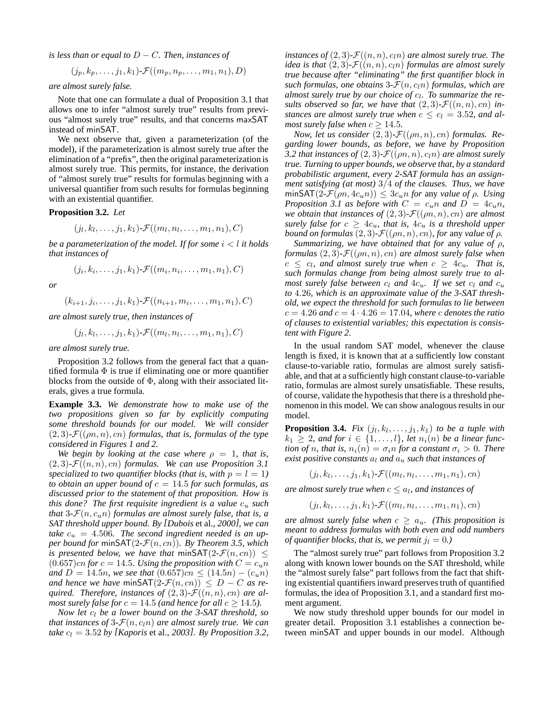*is less than or equal to* D − C*. Then, instances of*

$$
(j_p, k_p, \ldots, j_1, k_1) \cdot \mathcal{F}((m_p, n_p, \ldots, m_1, n_1), D)
$$

*are almost surely false.*

Note that one can formulate a dual of Proposition 3.1 that allows one to infer "almost surely true" results from previous "almost surely true" results, and that concerns maxSAT instead of minSAT.

We next observe that, given a parameterization (of the model), if the parameterization is almost surely true after the elimination of a "prefix", then the original parameterization is almost surely true. This permits, for instance, the derivation of "almost surely true" results for formulas beginning with a universal quantifier from such results for formulas beginning with an existential quantifier.

#### **Proposition 3.2.** *Let*

$$
(j_l,k_l,\ldots,j_1,k_1)\text{-}\mathcal{F}((m_l,n_l,\ldots,m_1,n_1),C)
$$

*be a* parameterization of the model. If for some  $i < l$  it holds *that instances of*

$$
(j_i,k_i,\ldots,j_1,k_1)\text{-}\mathcal{F}((m_i,n_i,\ldots,m_1,n_1),C)
$$

*or*

$$
(k_{i+1}, j_i, \ldots, j_1, k_1) \text{-} \mathcal{F}((n_{i+1}, m_i, \ldots, m_1, n_1), C)
$$

*are almost surely true, then instances of*

$$
(j_l, k_l, \ldots, j_1, k_1) \cdot \mathcal{F}((m_l, n_l, \ldots, m_1, n_1), C)
$$

*are almost surely true.*

Proposition 3.2 follows from the general fact that a quantified formula  $\Phi$  is true if eliminating one or more quantifier blocks from the outside of  $\Phi$ , along with their associated literals, gives a true formula.

**Example 3.3.** *We demonstrate how to make use of the two propositions given so far by explicitly computing some threshold bounds for our model. We will consider*  $(2, 3)$ - $\mathcal{F}((\rho n, n), cn)$  *formulas, that is, formulas of the type considered in Figures 1 and 2.*

*We* begin by looking at the case where  $\rho = 1$ , that is,  $(2, 3)$ - $\mathcal{F}((n, n), cn)$  *formulas.* We can use Proposition 3.1 specialized to two quantifier blocks (that is, with  $p = l = 1$ ) *to obtain an upper bound of*  $c = 14.5$  *for such formulas, as discussed prior to the statement of that proposition. How is this done?* The *first requisite ingredient is a value*  $c_u$  *such that* 3- $\mathcal{F}(n, c_n n)$  *formulas are almost surely false, that is, a SAT threshold upper bound. By [Dubois* et al.*, 2000], we can take*  $c_u = 4.506$ *. The second ingredient needed is an upper bound* for minSAT $(2-\mathcal{F}(n, cn))$ *. By Theorem 3.5, which is* presented below, we have that minSAT(2- $\mathcal{F}(n, cn)$ )  $\leq$  $(0.657)$ cn for  $c = 14.5$ *. Using the proposition with*  $C = c<sub>u</sub>n$ *and*  $D = 14.5n$ *, we see that*  $(0.657)cn \leq (14.5n) - (c<sub>u</sub>n)$ *and hence we have* minSAT $(2-\mathcal{F}(n, cn)) \leq D - C$  *as required. Therefore, instances of*  $(2,3)$ - $\mathcal{F}((n,n), cn)$  *are almost surely false for*  $c = 14.5$  *(and hence for all*  $c \ge 14.5$ *).* 

*Now let*  $c_l$  *be a lower bound on the 3-SAT threshold, so that instances of*  $3\text{-}\mathcal{F}(n, c_l n)$  *are almost surely true. We can take*  $c_l = 3.52$  *by* [*Kaporis* et al., 2003]. *By Proposition* 3.2, *instances of*  $(2, 3)$ - $\mathcal{F}((n, n), c, n)$  *are almost surely true. The idea is that*  $(2,3)$ *-* $\mathcal{F}((n,n), c_{1}n)$  *formulas are almost surely true because after "eliminating" the first quantifier block in such formulas, one obtains*  $3-\mathcal{F}(n, c<sub>l</sub>n)$  *formulas, which are almost surely true by our choice of* c<sup>l</sup> *. To summarize the results observed so far, we have that*  $(2,3)$ *-F* $((n, n), cn)$  *instances are almost surely true when*  $c \leq c_l = 3.52$ *, and almost surely false when*  $c \geq 14.5$ *.* 

*Now, let us consider*  $(2, 3)$ - $\mathcal{F}((\rho n, n), cn)$  *formulas. Regarding lower bounds, as before, we have by Proposition* 3.2 *that instances of*  $(2,3)$ - $\mathcal{F}((\rho n,n), c_l n)$  *are almost surely true. Turning to upper bounds, we observe that, by a standard probabilistic argument, every 2-SAT formula has an assignment satisfying (at most)* 3/4 *of the clauses. Thus, we have*  $\min\text{SAT}(2\text{-}\mathcal{F}(\rho n, 4c_u n)) \leq 3c_u n \text{ for any value of } \rho$ . Using *Proposition* 3.1 *as before with*  $C = c_u n$  *and*  $D = 4c_u n$ , *we obtain that instances of*  $(2, 3)$ *-* $\mathcal{F}((\rho n, n), cn)$  *are almost surely false for*  $c \geq 4c_u$ *, that is,*  $4c_u$  *is a threshold upper bound* on *formulas*  $(2, 3)$ *-* $\mathcal{F}((\rho n, n), cn)$ *, for any value of*  $\rho$ *.* 

*Summarizing, we have obtained that for* any *value of* ρ*, formulas*  $(2, 3)$ *-* $\mathcal{F}((\rho n, n), cn)$  *are almost surely false when*  $c \leq c_l$ , and almost surely true when  $c \geq 4c_u$ . That is, *such formulas change from being almost surely true to almost surely false between*  $c_l$  *and*  $4c_u$ *. If we set*  $c_l$  *and*  $c_u$ *to* 4.26*, which is an approximate value of the 3-SAT threshold, we expect the threshold for such formulas to lie between*  $c = 4.26$  and  $c = 4 \cdot 4.26 = 17.04$ , where c denotes the ratio *of clauses to existential variables; this expectation is consistent with Figure 2.*

In the usual random SAT model, whenever the clause length is fixed, it is known that at a sufficiently low constant clause-to-variable ratio, formulas are almost surely satisfiable, and that at a sufficiently high constant clause-to-variable ratio, formulas are almost surely unsatisfiable. These results, of course, validate the hypothesisthat there is a threshold phenomenon in this model. We can show analogous results in our model.

**Proposition 3.4.** Fix  $(j_l, k_l, \ldots, j_1, k_1)$  to be a tuple with  $k_1 \geq 2$ , and for  $i \in \{1, \ldots, l\}$ , let  $n_i(n)$  be a linear func*tion of n, that is,*  $n_i(n) = \sigma_i n$  *for a constant*  $\sigma_i > 0$ *. There exist positive constants*  $a_l$  *and*  $a_u$  *such that instances of* 

$$
(j_l,k_l,\ldots,j_1,k_1)\text{-}\mathcal{F}((m_l,n_l,\ldots,m_1,n_1),cn)
$$

 $a$ re almost surely true when  $c \leq a_l$ , and instances of

$$
(j_l, k_l, \ldots, j_1, k_1) \cdot \mathcal{F}((m_l, n_l, \ldots, m_1, n_1), cn)
$$

*are almost surely false when*  $c \ge a_u$ . *(This proposition is meant to address formulas with both even and odd numbers of quantifier blocks, that is, we permit*  $j_l = 0$ .)

The "almost surely true" part follows from Proposition 3.2 along with known lower bounds on the SAT threshold, while the "almost surely false" part follows from the fact that shifting existential quantifiers inward preserves truth of quantified formulas, the idea of Proposition 3.1, and a standard first moment argument.

We now study threshold upper bounds for our model in greater detail. Proposition 3.1 establishes a connection between minSAT and upper bounds in our model. Although